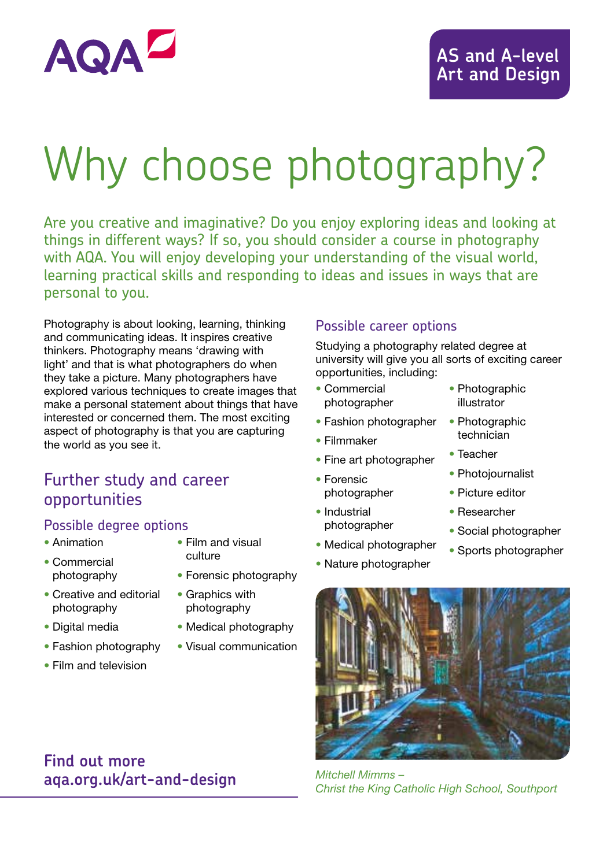

# Why choose photography?

Are you creative and imaginative? Do you enjoy exploring ideas and looking at things in different ways? If so, you should consider a course in photography with AQA. You will enjoy developing your understanding of the visual world, learning practical skills and responding to ideas and issues in ways that are personal to you.

Photography is about looking, learning, thinking and communicating ideas. It inspires creative thinkers. Photography means 'drawing with light' and that is what photographers do when they take a picture. Many photographers have explored various techniques to create images that make a personal statement about things that have interested or concerned them. The most exciting aspect of photography is that you are capturing the world as you see it.

# Further study and career opportunities

#### Possible degree options

- Animation
- Film and visual culture
- Commercial photography
- Forensic photography
- Creative and editorial photography
- Digital media
- Fashion photography
- Film and television
- Graphics with
	- photography
- Medical photography
- Visual communication

#### Possible career options

Studying a photography related degree at university will give you all sorts of exciting career opportunities, including:

- Commercial photographer
- Fashion photographer
- Filmmaker
- Fine art photographer
- Forensic photographer
- Industrial photographer
- Medical photographer
- Nature photographer
- Photographic illustrator
- Photographic technician
- Teacher
- Photojournalist
- Picture editor
- Researcher
- Social photographer
- Sports photographer



*Mitchell Mimms – Christ the King Catholic High School, Southport*

# **Find out more aqa.org.uk/art-and-design**